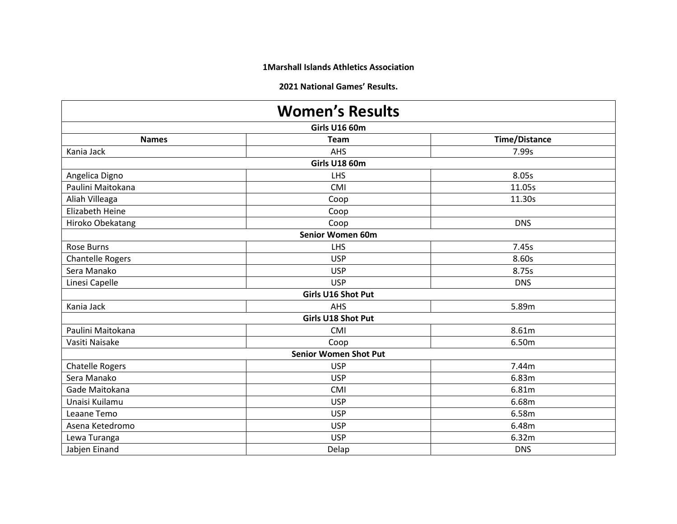**1Marshall Islands Athletics Association**

**2021 National Games' Results.**

| <b>Women's Results</b> |                              |                      |  |  |
|------------------------|------------------------------|----------------------|--|--|
| <b>Girls U16 60m</b>   |                              |                      |  |  |
| <b>Names</b>           | <b>Team</b>                  | <b>Time/Distance</b> |  |  |
| Kania Jack             | AHS                          | 7.99s                |  |  |
|                        | <b>Girls U18 60m</b>         |                      |  |  |
| Angelica Digno         | LHS                          | 8.05s                |  |  |
| Paulini Maitokana      | CMI                          | 11.05s               |  |  |
| Aliah Villeaga         | Coop                         | 11.30s               |  |  |
| <b>Elizabeth Heine</b> | Coop                         |                      |  |  |
| Hiroko Obekatang       | Coop                         | <b>DNS</b>           |  |  |
|                        | Senior Women 60m             |                      |  |  |
| Rose Burns             | <b>LHS</b>                   | 7.45s                |  |  |
| Chantelle Rogers       | <b>USP</b>                   | 8.60s                |  |  |
| Sera Manako            | <b>USP</b>                   | 8.75s                |  |  |
| Linesi Capelle         | <b>USP</b>                   | <b>DNS</b>           |  |  |
|                        | Girls U16 Shot Put           |                      |  |  |
| Kania Jack             | AHS                          | 5.89m                |  |  |
|                        | <b>Girls U18 Shot Put</b>    |                      |  |  |
| Paulini Maitokana      | CMI                          | 8.61m                |  |  |
| Vasiti Naisake         | Coop                         | 6.50m                |  |  |
|                        | <b>Senior Women Shot Put</b> |                      |  |  |
| <b>Chatelle Rogers</b> | <b>USP</b>                   | 7.44m                |  |  |
| Sera Manako            | <b>USP</b>                   | 6.83m                |  |  |
| Gade Maitokana         | CMI                          | 6.81m                |  |  |
| Unaisi Kuilamu         | <b>USP</b>                   | 6.68m                |  |  |
| Leaane Temo            | <b>USP</b>                   | 6.58m                |  |  |
| Asena Ketedromo        | <b>USP</b>                   | 6.48m                |  |  |
| Lewa Turanga           | <b>USP</b>                   | 6.32m                |  |  |
| Jabjen Einand          | Delap                        | <b>DNS</b>           |  |  |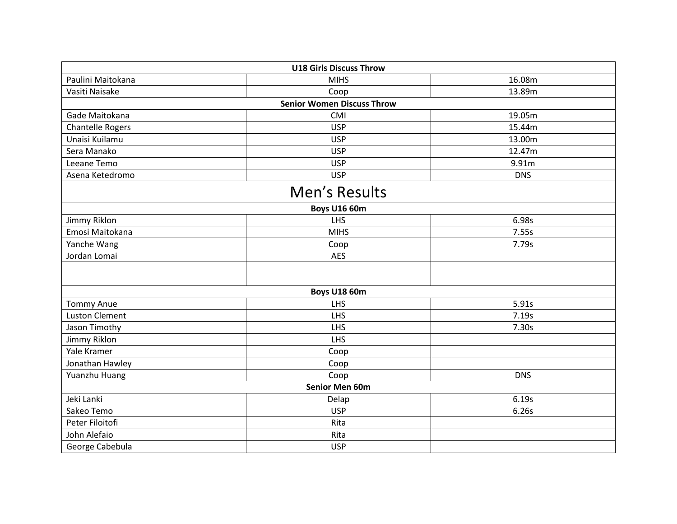|                         | <b>U18 Girls Discuss Throw</b>    |            |  |  |
|-------------------------|-----------------------------------|------------|--|--|
| Paulini Maitokana       | <b>MIHS</b>                       | 16.08m     |  |  |
| Vasiti Naisake          | Coop                              | 13.89m     |  |  |
|                         | <b>Senior Women Discuss Throw</b> |            |  |  |
| Gade Maitokana          | CMI                               | 19.05m     |  |  |
| <b>Chantelle Rogers</b> | <b>USP</b>                        | 15.44m     |  |  |
| Unaisi Kuilamu          | <b>USP</b>                        | 13.00m     |  |  |
| Sera Manako             | <b>USP</b>                        | 12.47m     |  |  |
| Leeane Temo             | <b>USP</b>                        | 9.91m      |  |  |
| Asena Ketedromo         | <b>USP</b>                        | <b>DNS</b> |  |  |
|                         | Men's Results                     |            |  |  |
| <b>Boys U16 60m</b>     |                                   |            |  |  |
| Jimmy Riklon            | <b>LHS</b>                        | 6.98s      |  |  |
| Emosi Maitokana         | <b>MIHS</b>                       | 7.55s      |  |  |
| Yanche Wang             | Coop                              | 7.79s      |  |  |
| Jordan Lomai            | <b>AES</b>                        |            |  |  |
|                         |                                   |            |  |  |
|                         |                                   |            |  |  |
|                         | <b>Boys U18 60m</b>               |            |  |  |
| <b>Tommy Anue</b>       | LHS                               | 5.91s      |  |  |
| <b>Luston Clement</b>   | LHS                               | 7.19s      |  |  |
| Jason Timothy           | <b>LHS</b>                        | 7.30s      |  |  |
| Jimmy Riklon            | <b>LHS</b>                        |            |  |  |
| Yale Kramer             | Coop                              |            |  |  |
| Jonathan Hawley         | Coop                              |            |  |  |
| Yuanzhu Huang           | Coop                              | <b>DNS</b> |  |  |
|                         | <b>Senior Men 60m</b>             |            |  |  |
| Jeki Lanki              | Delap                             | 6.19s      |  |  |
| Sakeo Temo              | <b>USP</b>                        | 6.26s      |  |  |
| Peter Filoitofi         | Rita                              |            |  |  |
| John Alefaio            | Rita                              |            |  |  |
| George Cabebula         | <b>USP</b>                        |            |  |  |